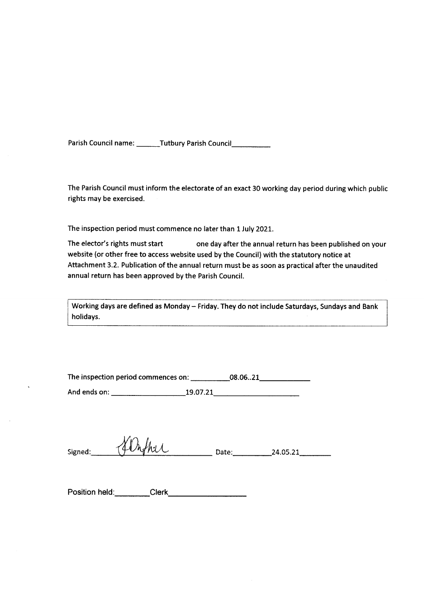Parish Council name: \_\_\_\_\_\_Tutbury Parish Council \_\_\_\_\_\_\_\_\_\_

The Parish Council must inform the electorate of an exact 30 working day period during which public rights may be exercised.

The inspection period must commence no later than 1 July 2021.

The elector's rights must start one day after the annual return has been published on your website (or other free to access website used by the Council) with the statutory notice at Attachment 3.2. Publication of the annual return must be as soon as practical after the unaudited annual return has been approved by the Parish Council.

Working days are defined as Monday - Friday. They do not include Saturdays, Sundays and Bank holidays.

|              | The inspection period commences on: | 08.0621 |  |
|--------------|-------------------------------------|---------|--|
| And ends on: | 19.07.21                            |         |  |

|         | N<br>N<br>ł<br>$\nu$ la el<br>$\overline{A}$<br>r in |       |                        |
|---------|------------------------------------------------------|-------|------------------------|
| Signed: | ب<br>v<br>∽п                                         | Date: | $\sim$<br>74. AS.<br>. |

Position held: Clerk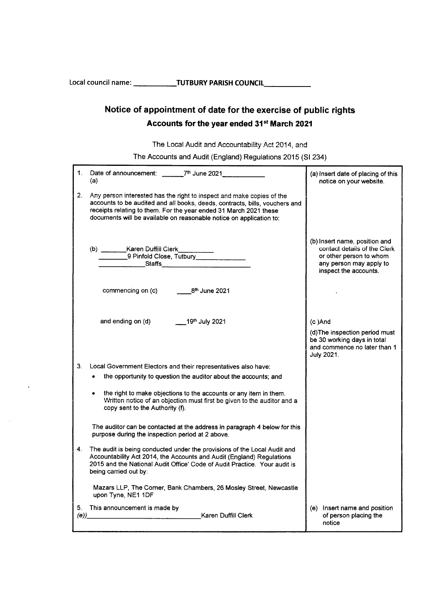Local council name: TUTBURY PARISH COUNCIL

# Notice of appointment of date for the exercise of public rights Accounts for the year ended 31st March 2021

The Local Audit and Accountability Act 2014, and

The Accounts and Audit (England) Regulations 2015 (SI 234)

| $1_{-}$ | Date of announcement: ______7 <sup>th</sup> June 2021_________<br>(a)                                                                                                                                                                                                                            | (a) Insert date of placing of this<br>notice on your website.                                                                                |
|---------|--------------------------------------------------------------------------------------------------------------------------------------------------------------------------------------------------------------------------------------------------------------------------------------------------|----------------------------------------------------------------------------------------------------------------------------------------------|
| 2.      | Any person interested has the right to inspect and make copies of the<br>accounts to be audited and all books, deeds, contracts, bills, vouchers and<br>receipts relating to them. For the year ended 31 March 2021 these<br>documents will be available on reasonable notice on application to: |                                                                                                                                              |
|         | (b) _________Karen Duffill Clerk___________<br>9 Pinfold Close, Tutbury _____________                                                                                                                                                                                                            | (b) insert name, position and<br>contact details of the Clerk<br>or other person to whom<br>any person may apply to<br>inspect the accounts. |
|         | commencing on (c) $8th$ June 2021                                                                                                                                                                                                                                                                |                                                                                                                                              |
|         | and ending on (d) 19th July 2021                                                                                                                                                                                                                                                                 | $(c)$ And<br>(d) The inspection period must<br>be 30 working days in total<br>and commence no later than 1<br>July 2021.                     |
| 3.      | Local Government Electors and their representatives also have:                                                                                                                                                                                                                                   |                                                                                                                                              |
|         | • the opportunity to question the auditor about the accounts; and                                                                                                                                                                                                                                |                                                                                                                                              |
|         | the right to make objections to the accounts or any item in them.<br>Written notice of an objection must first be given to the auditor and a<br>copy sent to the Authority (f).                                                                                                                  |                                                                                                                                              |
|         | The auditor can be contacted at the address in paragraph 4 below for this<br>purpose during the inspection period at 2 above.                                                                                                                                                                    |                                                                                                                                              |
| 4.      | The audit is being conducted under the provisions of the Local Audit and<br>Accountability Act 2014, the Accounts and Audit (England) Regulations<br>2015 and the National Audit Office' Code of Audit Practice. Your audit is<br>being carried out by:                                          |                                                                                                                                              |
|         | Mazars LLP, The Corner, Bank Chambers, 26 Mosley Street, Newcastle<br>upon Tyne, NE1 1DF                                                                                                                                                                                                         |                                                                                                                                              |
|         | 5. This announcement is made by                                                                                                                                                                                                                                                                  | (e) Insert name and position<br>of person placing the<br>notice                                                                              |